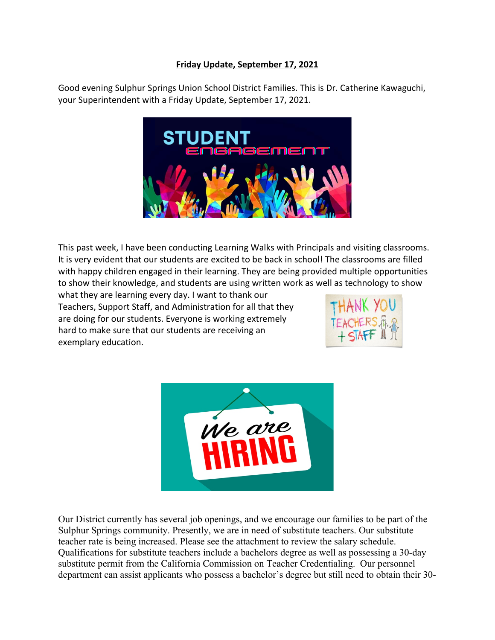## **Friday Update, September 17, 2021**

Good evening Sulphur Springs Union School District Families. This is Dr. Catherine Kawaguchi, your Superintendent with a Friday Update, September 17, 2021.



This past week, I have been conducting Learning Walks with Principals and visiting classrooms. It is very evident that our students are excited to be back in school! The classrooms are filled with happy children engaged in their learning. They are being provided multiple opportunities to show their knowledge, and students are using written work as well as technology to show

what they are learning every day. I want to thank our Teachers, Support Staff, and Administration for all that they are doing for our students. Everyone is working extremely hard to make sure that our students are receiving an exemplary education.





Our District currently has several job openings, and we encourage our families to be part of the Sulphur Springs community. Presently, we are in need of substitute teachers. Our substitute teacher rate is being increased. Please see the attachment to review the salary schedule. Qualifications for substitute teachers include a bachelors degree as well as possessing a 30-day substitute permit from the California Commission on Teacher Credentialing. Our personnel department can assist applicants who possess a bachelor's degree but still need to obtain their 30